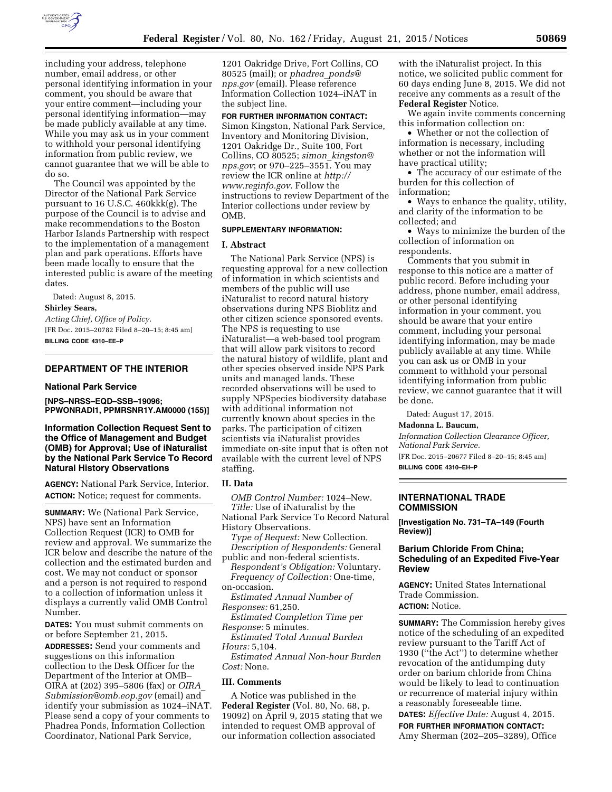

including your address, telephone number, email address, or other personal identifying information in your comment, you should be aware that your entire comment—including your personal identifying information—may be made publicly available at any time. While you may ask us in your comment to withhold your personal identifying information from public review, we cannot guarantee that we will be able to do so.

The Council was appointed by the Director of the National Park Service pursuant to 16 U.S.C. 460kkk(g). The purpose of the Council is to advise and make recommendations to the Boston Harbor Islands Partnership with respect to the implementation of a management plan and park operations. Efforts have been made locally to ensure that the interested public is aware of the meeting dates.

Dated: August 8, 2015.

#### **Shirley Sears,**

*Acting Chief, Office of Policy.*  [FR Doc. 2015–20782 Filed 8–20–15; 8:45 am] **BILLING CODE 4310–EE–P** 

# **DEPARTMENT OF THE INTERIOR**

#### **National Park Service**

**[NPS–NRSS–EQD–SSB–19096; PPWONRADI1, PPMRSNR1Y.AM0000 (155)]** 

# **Information Collection Request Sent to the Office of Management and Budget (OMB) for Approval; Use of iNaturalist by the National Park Service To Record Natural History Observations**

**AGENCY:** National Park Service, Interior. **ACTION:** Notice; request for comments.

**SUMMARY:** We (National Park Service, NPS) have sent an Information Collection Request (ICR) to OMB for review and approval. We summarize the ICR below and describe the nature of the collection and the estimated burden and cost. We may not conduct or sponsor and a person is not required to respond to a collection of information unless it displays a currently valid OMB Control Number.

**DATES:** You must submit comments on or before September 21, 2015.

**ADDRESSES:** Send your comments and suggestions on this information collection to the Desk Officer for the Department of the Interior at OMB– OIRA at (202) 395–5806 (fax) or *[OIRA](mailto:OIRA_Submission@omb.eop.gov)*\_ *[Submission@omb.eop.gov](mailto:OIRA_Submission@omb.eop.gov)* (email) and identify your submission as 1024–iNAT. Please send a copy of your comments to Phadrea Ponds, Information Collection Coordinator, National Park Service,

1201 Oakridge Drive, Fort Collins, CO 80525 (mail); or *[phadrea](mailto:phadrea_ponds@nps.gov)*\_*ponds@ [nps.gov](mailto:phadrea_ponds@nps.gov)* (email). Please reference Information Collection 1024–iNAT in the subject line.

**FOR FURTHER INFORMATION CONTACT:**  Simon Kingston, National Park Service, Inventory and Monitoring Division, 1201 Oakridge Dr., Suite 100, Fort Collins, CO 80525; *simon*\_*[kingston@](mailto:simon_kingston@nps.gov) [nps.gov](mailto:simon_kingston@nps.gov)*; or 970–225–3551. You may review the ICR online at *[http://](http://www.reginfo.gov) [www.reginfo.gov.](http://www.reginfo.gov)* Follow the instructions to review Department of the Interior collections under review by OMB.

### **SUPPLEMENTARY INFORMATION:**

#### **I. Abstract**

The National Park Service (NPS) is requesting approval for a new collection of information in which scientists and members of the public will use iNaturalist to record natural history observations during NPS Bioblitz and other citizen science sponsored events. The NPS is requesting to use iNaturalist—a web-based tool program that will allow park visitors to record the natural history of wildlife, plant and other species observed inside NPS Park units and managed lands. These recorded observations will be used to supply NPSpecies biodiversity database with additional information not currently known about species in the parks. The participation of citizen scientists via iNaturalist provides immediate on-site input that is often not available with the current level of NPS staffing.

# **II. Data**

*OMB Control Number:* 1024–New. *Title:* Use of iNaturalist by the National Park Service To Record Natural History Observations.

*Type of Request:* New Collection. *Description of Respondents:* General

public and non-federal scientists. *Respondent's Obligation:* Voluntary. *Frequency of Collection:* One-time, on-occasion.

*Estimated Annual Number of Responses:* 61,250.

*Estimated Completion Time per Response:* 5 minutes.

*Estimated Total Annual Burden Hours:* 5,104.

*Estimated Annual Non-hour Burden Cost:* None.

# **III. Comments**

A Notice was published in the **Federal Register** (Vol. 80, No. 68, p. 19092) on April 9, 2015 stating that we intended to request OMB approval of our information collection associated

with the iNaturalist project. In this notice, we solicited public comment for 60 days ending June 8, 2015. We did not receive any comments as a result of the **Federal Register** Notice.

We again invite comments concerning this information collection on:

• Whether or not the collection of information is necessary, including whether or not the information will have practical utility;

• The accuracy of our estimate of the burden for this collection of information;

• Ways to enhance the quality, utility, and clarity of the information to be collected; and

• Ways to minimize the burden of the collection of information on respondents.

Comments that you submit in response to this notice are a matter of public record. Before including your address, phone number, email address, or other personal identifying information in your comment, you should be aware that your entire comment, including your personal identifying information, may be made publicly available at any time. While you can ask us or OMB in your comment to withhold your personal identifying information from public review, we cannot guarantee that it will be done.

Dated: August 17, 2015.

#### **Madonna L. Baucum,**

*Information Collection Clearance Officer, National Park Service.* 

[FR Doc. 2015–20677 Filed 8–20–15; 8:45 am]

**BILLING CODE 4310–EH–P** 

### **INTERNATIONAL TRADE COMMISSION**

**[Investigation No. 731–TA–149 (Fourth Review)]** 

# **Barium Chloride From China; Scheduling of an Expedited Five-Year Review**

**AGENCY:** United States International Trade Commission. **ACTION:** Notice.

**SUMMARY:** The Commission hereby gives notice of the scheduling of an expedited review pursuant to the Tariff Act of 1930 (''the Act'') to determine whether revocation of the antidumping duty order on barium chloride from China would be likely to lead to continuation or recurrence of material injury within a reasonably foreseeable time.

**DATES:** *Effective Date:* August 4, 2015. **FOR FURTHER INFORMATION CONTACT:**  Amy Sherman (202–205–3289), Office